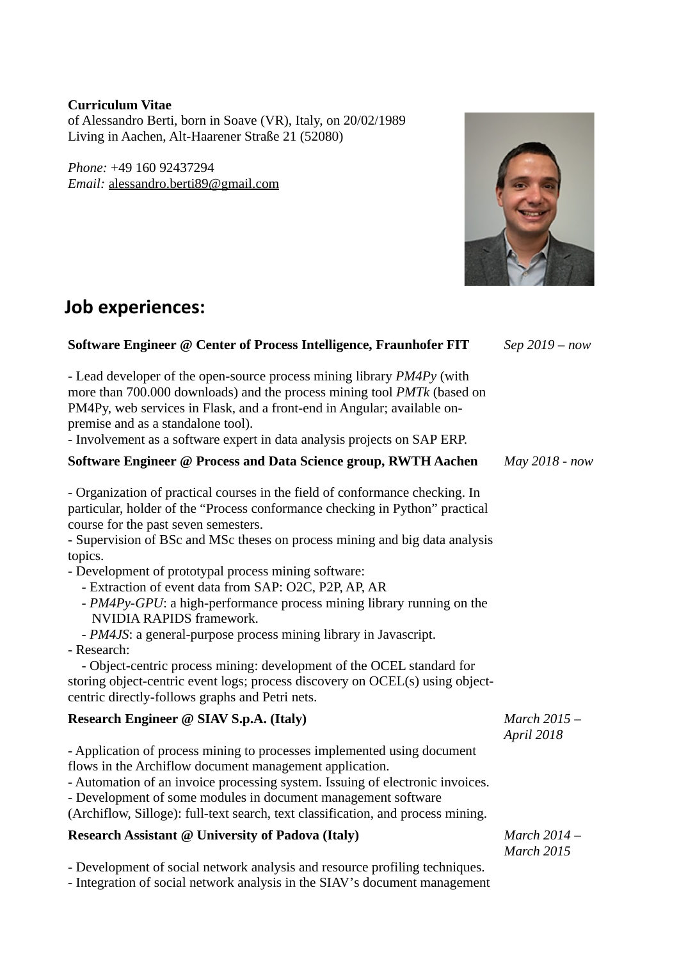### **Curriculum Vitae**

of Alessandro Berti, born in Soave (VR), Italy, on 20/02/1989 Living in Aachen, Alt-Haarener Straße 21 (52080)

*Phone:* +49 160 92437294 *Email:* [alessandro.berti89@gmail.com](mailto:alessandro.berti89@gmail.com)

## **Job experiences:**

### **Software Engineer @ Center of Process Intelligence, Fraunhofer FIT** - Lead developer of the open-source process mining library *PM4Py* (with more than 700.000 downloads) and the process mining tool *PMTk* (based on PM4Py, web services in Flask, and a front-end in Angular; available onpremise and as a standalone tool)*.* - Involvement as a software expert in data analysis projects on SAP ERP. *Sep 2019 – now* **Software Engineer @ Process and Data Science group, RWTH Aachen** - Organization of practical courses in the field of conformance checking. In particular, holder of the "Process conformance checking in Python" practical course for the past seven semesters. - Supervision of BSc and MSc theses on process mining and big data analysis topics. - Development of prototypal process mining software: - Extraction of event data from SAP: O2C, P2P, AP, AR - *PM4Py-GPU*: a high-performance process mining library running on the NVIDIA RAPIDS framework. - *PM4JS*: a general-purpose process mining library in Javascript. - Research: - Object-centric process mining: development of the OCEL standard for storing object-centric event logs; process discovery on OCEL(s) using objectcentric directly-follows graphs and Petri nets. *May 2018 - now* **Research Engineer @ SIAV S.p.A. (Italy)** - Application of process mining to processes implemented using document flows in the Archiflow document management application. - Automation of an invoice processing system. Issuing of electronic invoices. - Development of some modules in document management software (Archiflow, Silloge): full-text search, text classification, and process mining. *March 2015 – April 2018* **Research Assistant @ University of Padova (Italy)** - Development of social network analysis and resource profiling techniques. - Integration of social network analysis in the SIAV's document management *March 2014 – March 2015*